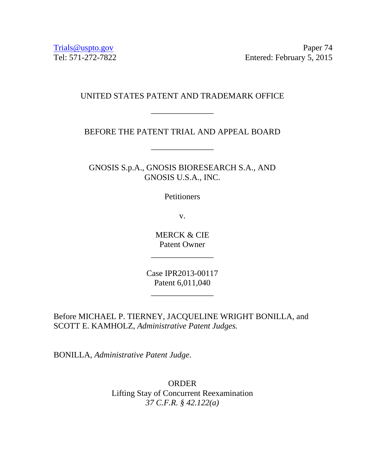Trials@uspto.gov Paper 74 Tel: 571-272-7822 Entered: February 5, 2015

## UNITED STATES PATENT AND TRADEMARK OFFICE

\_\_\_\_\_\_\_\_\_\_\_\_\_\_\_

## BEFORE THE PATENT TRIAL AND APPEAL BOARD

\_\_\_\_\_\_\_\_\_\_\_\_\_\_\_

GNOSIS S.p.A., GNOSIS BIORESEARCH S.A., AND GNOSIS U.S.A., INC.

**Petitioners** 

v.

MERCK & CIE Patent Owner

\_\_\_\_\_\_\_\_\_\_\_\_\_\_\_

Case IPR2013-00117 Patent 6,011,040

\_\_\_\_\_\_\_\_\_\_\_\_\_\_\_

Before MICHAEL P. TIERNEY, JACQUELINE WRIGHT BONILLA, and SCOTT E. KAMHOLZ, *Administrative Patent Judges.* 

BONILLA, *Administrative Patent Judge*.

ORDER Lifting Stay of Concurrent Reexamination *37 C.F.R. § 42.122(a)*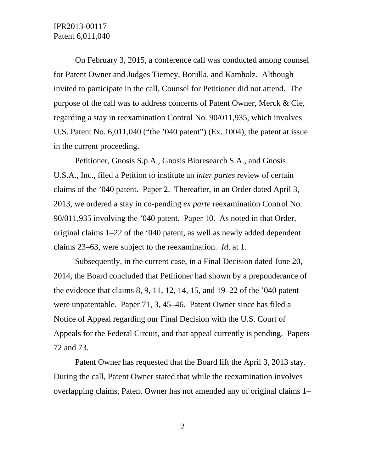On February 3, 2015, a conference call was conducted among counsel for Patent Owner and Judges Tierney, Bonilla, and Kamholz. Although invited to participate in the call, Counsel for Petitioner did not attend. The purpose of the call was to address concerns of Patent Owner, Merck & Cie, regarding a stay in reexamination Control No. 90/011,935, which involves U.S. Patent No. 6,011,040 ("the '040 patent") (Ex. 1004), the patent at issue in the current proceeding.

Petitioner, Gnosis S.p.A., Gnosis Bioresearch S.A., and Gnosis U.S.A., Inc., filed a Petition to institute an *inter partes* review of certain claims of the '040 patent. Paper 2. Thereafter, in an Order dated April 3, 2013, we ordered a stay in co-pending *ex parte* reexamination Control No. 90/011,935 involving the '040 patent. Paper 10. As noted in that Order, original claims 1–22 of the '040 patent, as well as newly added dependent claims 23–63, were subject to the reexamination. *Id*. at 1.

Subsequently, in the current case, in a Final Decision dated June 20, 2014, the Board concluded that Petitioner had shown by a preponderance of the evidence that claims 8, 9, 11, 12, 14, 15, and 19–22 of the '040 patent were unpatentable. Paper 71, 3, 45–46. Patent Owner since has filed a Notice of Appeal regarding our Final Decision with the U.S. Court of Appeals for the Federal Circuit, and that appeal currently is pending. Papers 72 and 73.

Patent Owner has requested that the Board lift the April 3, 2013 stay. During the call, Patent Owner stated that while the reexamination involves overlapping claims, Patent Owner has not amended any of original claims 1–

2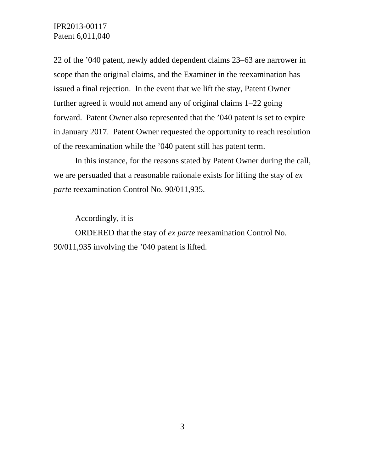IPR2013-00117 Patent 6,011,040

22 of the '040 patent, newly added dependent claims 23–63 are narrower in scope than the original claims, and the Examiner in the reexamination has issued a final rejection. In the event that we lift the stay, Patent Owner further agreed it would not amend any of original claims 1–22 going forward. Patent Owner also represented that the '040 patent is set to expire in January 2017. Patent Owner requested the opportunity to reach resolution of the reexamination while the '040 patent still has patent term.

In this instance, for the reasons stated by Patent Owner during the call, we are persuaded that a reasonable rationale exists for lifting the stay of *ex parte* reexamination Control No. 90/011,935.

Accordingly, it is

ORDERED that the stay of *ex parte* reexamination Control No. 90/011,935 involving the '040 patent is lifted.